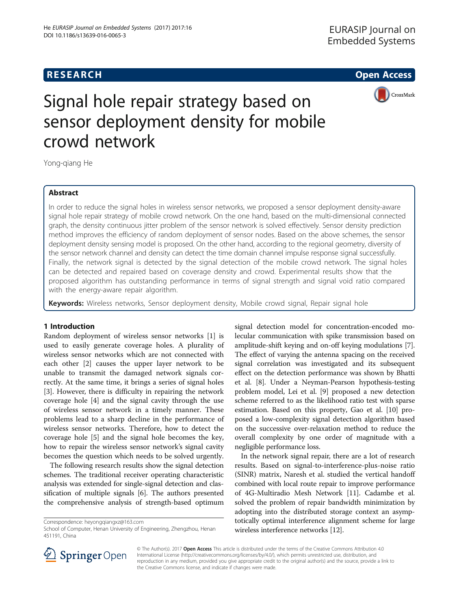## **RESEARCH CHE Open Access**



# Signal hole repair strategy based on sensor deployment density for mobile crowd network

Yong-qiang He

### Abstract

In order to reduce the signal holes in wireless sensor networks, we proposed a sensor deployment density-aware signal hole repair strategy of mobile crowd network. On the one hand, based on the multi-dimensional connected graph, the density continuous jitter problem of the sensor network is solved effectively. Sensor density prediction method improves the efficiency of random deployment of sensor nodes. Based on the above schemes, the sensor deployment density sensing model is proposed. On the other hand, according to the regional geometry, diversity of the sensor network channel and density can detect the time domain channel impulse response signal successfully. Finally, the network signal is detected by the signal detection of the mobile crowd network. The signal holes can be detected and repaired based on coverage density and crowd. Experimental results show that the proposed algorithm has outstanding performance in terms of signal strength and signal void ratio compared with the energy-aware repair algorithm.

Keywords: Wireless networks, Sensor deployment density, Mobile crowd signal, Repair signal hole

#### 1 Introduction

Random deployment of wireless sensor networks [[1\]](#page-4-0) is used to easily generate coverage holes. A plurality of wireless sensor networks which are not connected with each other [[2\]](#page-4-0) causes the upper layer network to be unable to transmit the damaged network signals correctly. At the same time, it brings a series of signal holes [[3\]](#page-4-0). However, there is difficulty in repairing the network coverage hole [[4\]](#page-4-0) and the signal cavity through the use of wireless sensor network in a timely manner. These problems lead to a sharp decline in the performance of wireless sensor networks. Therefore, how to detect the coverage hole [[5\]](#page-4-0) and the signal hole becomes the key, how to repair the wireless sensor network's signal cavity becomes the question which needs to be solved urgently.

The following research results show the signal detection schemes. The traditional receiver operating characteristic analysis was extended for single-signal detection and classification of multiple signals [[6\]](#page-4-0). The authors presented the comprehensive analysis of strength-based optimum

Correspondence: [heyongqiangxz@163.com](mailto:heyongqiangxz@163.com)

signal detection model for concentration-encoded molecular communication with spike transmission based on amplitude-shift keying and on-off keying modulations [[7](#page-4-0)]. The effect of varying the antenna spacing on the received signal correlation was investigated and its subsequent effect on the detection performance was shown by Bhatti et al. [\[8](#page-4-0)]. Under a Neyman-Pearson hypothesis-testing problem model, Lei et al. [[9](#page-4-0)] proposed a new detection scheme referred to as the likelihood ratio test with sparse estimation. Based on this property, Gao et al. [\[10\]](#page-5-0) proposed a low-complexity signal detection algorithm based on the successive over-relaxation method to reduce the overall complexity by one order of magnitude with a negligible performance loss.

In the network signal repair, there are a lot of research results. Based on signal-to-interference-plus-noise ratio (SINR) matrix, Naresh et al. studied the vertical handoff combined with local route repair to improve performance of 4G-Multiradio Mesh Network [\[11\]](#page-5-0). Cadambe et al. solved the problem of repair bandwidth minimization by adopting into the distributed storage context an asymptotically optimal interference alignment scheme for large wireless interference networks [\[12](#page-5-0)].



© The Author(s). 2017 Open Access This article is distributed under the terms of the Creative Commons Attribution 4.0 International License ([http://creativecommons.org/licenses/by/4.0/\)](http://creativecommons.org/licenses/by/4.0/), which permits unrestricted use, distribution, and reproduction in any medium, provided you give appropriate credit to the original author(s) and the source, provide a link to the Creative Commons license, and indicate if changes were made.

School of Computer, Henan University of Engineering, Zhengzhou, Henan 451191, China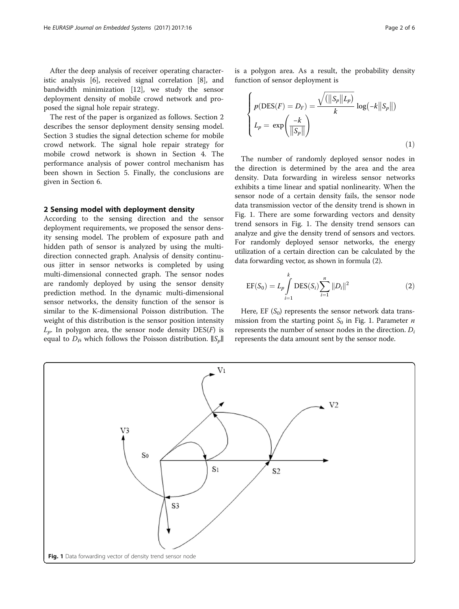After the deep analysis of receiver operating characteristic analysis [[6\]](#page-4-0), received signal correlation [\[8](#page-4-0)], and bandwidth minimization [[12\]](#page-5-0), we study the sensor deployment density of mobile crowd network and proposed the signal hole repair strategy.

The rest of the paper is organized as follows. Section 2 describes the sensor deployment density sensing model. Section [3](#page-2-0) studies the signal detection scheme for mobile crowd network. The signal hole repair strategy for mobile crowd network is shown in Section [4.](#page-2-0) The performance analysis of power control mechanism has been shown in Section [5.](#page-3-0) Finally, the conclusions are given in Section [6](#page-4-0).

#### 2 Sensing model with deployment density

According to the sensing direction and the sensor deployment requirements, we proposed the sensor density sensing model. The problem of exposure path and hidden path of sensor is analyzed by using the multidirection connected graph. Analysis of density continuous jitter in sensor networks is completed by using multi-dimensional connected graph. The sensor nodes are randomly deployed by using the sensor density prediction method. In the dynamic multi-dimensional sensor networks, the density function of the sensor is similar to the K-dimensional Poisson distribution. The weight of this distribution is the sensor position intensity  $L_p$ . In polygon area, the sensor node density DES(F) is equal to  $D<sub>B</sub>$  which follows the Poisson distribution.  $||S<sub>p</sub>||$ 

is a polygon area. As a result, the probability density function of sensor deployment is

$$
\begin{cases}\np(\text{DES}(F) = D_F) = \frac{\sqrt{(\|S_p\|L_p)}}{k} \log(-k \|S_p\|) \\
L_p = \exp\left(\frac{-k}{\|S_p\|}\right)\n\end{cases}
$$
\n(1)

The number of randomly deployed sensor nodes in the direction is determined by the area and the area density. Data forwarding in wireless sensor networks exhibits a time linear and spatial nonlinearity. When the sensor node of a certain density fails, the sensor node data transmission vector of the density trend is shown in Fig. 1. There are some forwarding vectors and density trend sensors in Fig. 1. The density trend sensors can analyze and give the density trend of sensors and vectors. For randomly deployed sensor networks, the energy utilization of a certain direction can be calculated by the data forwarding vector, as shown in formula (2).

$$
EF(S_0) = L_p \int_{i=1}^k DES(S_i) \sum_{i=1}^n ||D_i||^2
$$
 (2)

Here, EF  $(S_0)$  represents the sensor network data transmission from the starting point  $S_0$  in Fig. 1. Parameter *n* represents the number of sensor nodes in the direction.  $D_i$ represents the data amount sent by the sensor node.

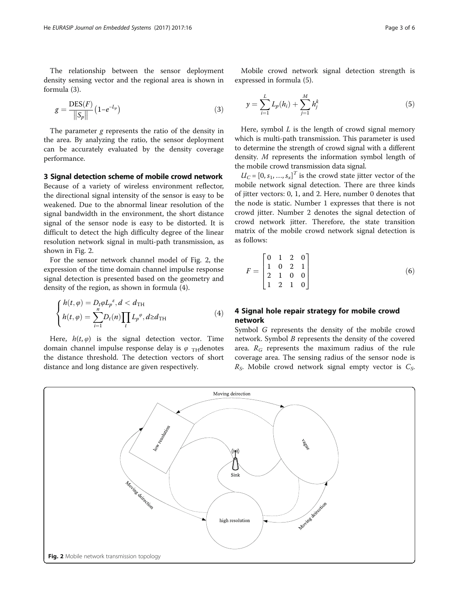formula (3).

<span id="page-2-0"></span>The relationship between the sensor deployment

$$
g = \frac{\text{DES}(F)}{\|S_p\|} \left(1 - e^{-L_p}\right) \tag{3}
$$

density sensing vector and the regional area is shown in

The parameter g represents the ratio of the density in the area. By analyzing the ratio, the sensor deployment can be accurately evaluated by the density coverage performance.

#### 3 Signal detection scheme of mobile crowd network

Because of a variety of wireless environment reflector, the directional signal intensity of the sensor is easy to be weakened. Due to the abnormal linear resolution of the signal bandwidth in the environment, the short distance signal of the sensor node is easy to be distorted. It is difficult to detect the high difficulty degree of the linear resolution network signal in multi-path transmission, as shown in Fig. 2.

For the sensor network channel model of Fig. 2, the expression of the time domain channel impulse response signal detection is presented based on the geometry and density of the region, as shown in formula (4).

$$
\begin{cases}\nh(t,\varphi) = D_t \varphi L_p^{\varepsilon}, d < d_{\text{TH}} \\
h(t,\varphi) = \sum_{i=1}^n D_t(n) \prod_t L_p^{\varphi}, d \ge d_{\text{TH}}\n\end{cases} \tag{4}
$$

Here,  $h(t, \varphi)$  is the signal detection vector. Time domain channel impulse response delay is  $\varphi$ <sub>TH</sub> denotes the distance threshold. The detection vectors of short distance and long distance are given respectively.

Mobile crowd network signal detection strength is expressed in formula (5).

$$
y = \sum_{i=1}^{L} L_p(h_i) + \sum_{j=1}^{M} h_j^k
$$
 (5)

Here, symbol  $L$  is the length of crowd signal memory which is multi-path transmission. This parameter is used to determine the strength of crowd signal with a different density. M represents the information symbol length of the mobile crowd transmission data signal.

 $U_C = [0, s_1, ..., s_x]^T$  is the crowd state jitter vector of the mobile network signal detection. There are three kinds of jitter vectors: 0, 1, and 2. Here, number 0 denotes that the node is static. Number 1 expresses that there is not crowd jitter. Number 2 denotes the signal detection of crowd network jitter. Therefore, the state transition matrix of the mobile crowd network signal detection is as follows:

$$
F = \begin{bmatrix} 0 & 1 & 2 & 0 \\ 1 & 0 & 2 & 1 \\ 2 & 1 & 0 & 0 \\ 1 & 2 & 1 & 0 \end{bmatrix}
$$
 (6)

### 4 Signal hole repair strategy for mobile crowd network

Symbol G represents the density of the mobile crowd network. Symbol B represents the density of the covered area.  $R_G$  represents the maximum radius of the rule coverage area. The sensing radius of the sensor node is  $R<sub>S</sub>$ . Mobile crowd network signal empty vector is  $C<sub>S</sub>$ .

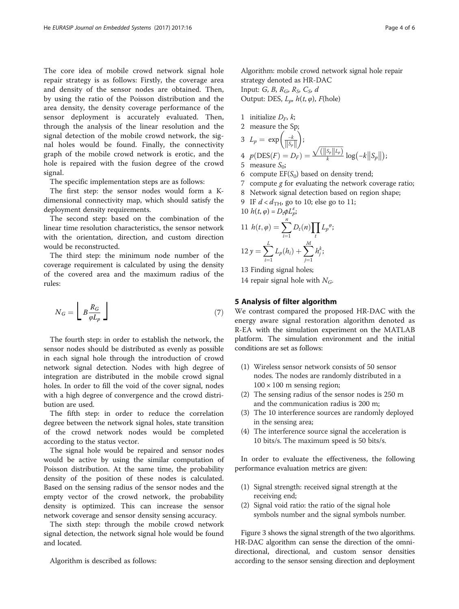<span id="page-3-0"></span>The core idea of mobile crowd network signal hole repair strategy is as follows: Firstly, the coverage area and density of the sensor nodes are obtained. Then, by using the ratio of the Poisson distribution and the area density, the density coverage performance of the sensor deployment is accurately evaluated. Then, through the analysis of the linear resolution and the signal detection of the mobile crowd network, the signal holes would be found. Finally, the connectivity graph of the mobile crowd network is erotic, and the hole is repaired with the fusion degree of the crowd signal.

The specific implementation steps are as follows:

The first step: the sensor nodes would form a Kdimensional connectivity map, which should satisfy the deployment density requirements.

The second step: based on the combination of the linear time resolution characteristics, the sensor network with the orientation, direction, and custom direction would be reconstructed.

The third step: the minimum node number of the coverage requirement is calculated by using the density of the covered area and the maximum radius of the rules:

$$
N_G = \left\lfloor B \frac{R_G}{\varphi L_p} \right\rfloor \tag{7}
$$

The fourth step: in order to establish the network, the sensor nodes should be distributed as evenly as possible in each signal hole through the introduction of crowd network signal detection. Nodes with high degree of integration are distributed in the mobile crowd signal holes. In order to fill the void of the cover signal, nodes with a high degree of convergence and the crowd distribution are used.

The fifth step: in order to reduce the correlation degree between the network signal holes, state transition of the crowd network nodes would be completed according to the status vector.

The signal hole would be repaired and sensor nodes would be active by using the similar computation of Poisson distribution. At the same time, the probability density of the position of these nodes is calculated. Based on the sensing radius of the sensor nodes and the empty vector of the crowd network, the probability density is optimized. This can increase the sensor network coverage and sensor density sensing accuracy.

The sixth step: through the mobile crowd network signal detection, the network signal hole would be found and located.

Algorithm is described as follows:

Algorithm: mobile crowd network signal hole repair strategy denoted as HR-DAC Input: G, B,  $R_G$ ,  $R_S$ ,  $C_S$ , d Output: DES,  $L_n$ ,  $h(t, \varphi)$ ,  $F$ (hole)

1 initialize  $D_F$ , *k*;<br>2 measure the St

2 measure the Sp;  
3 
$$
L_p = \exp\left(\frac{-k}{\|S_p\|}\right);
$$

4 
$$
p(\text{DES}(F) = D_F) = \frac{\sqrt{(\|S_p\|L_p)}}{k} \log(-k \|S_p\|);
$$

- 5 measure  $S_0$ ;
- 6 compute  $EF(S_0)$  based on density trend;
- 7 compute  $g$  for evaluating the network coverage ratio;
- 8 Network signal detection based on region shape;

9 IF 
$$
d < d_{\text{TH}}
$$
, go to 10; else go to 11;

10 
$$
h(t, \varphi) = D_{t}\varphi L_{p}^{\varepsilon}
$$
  
\n11  $h(t, \varphi) = \sum_{i=1}^{n} D_{t}(n) \prod_{t} L_{p}^{\varphi}$   
\n12  $y = \sum_{i=1}^{L} L_{p}(h_{i}) + \sum_{j=1}^{M} h_{j}^{k}$ 

13 Finding signal holes;

14 repair signal hole with  $N_G$ .

#### 5 Analysis of filter algorithm

We contrast compared the proposed HR-DAC with the energy aware signal restoration algorithm denoted as R-EA with the simulation experiment on the MATLAB platform. The simulation environment and the initial conditions are set as follows:

- (1) Wireless sensor network consists of 50 sensor nodes. The nodes are randomly distributed in a  $100 \times 100$  m sensing region;
- (2) The sensing radius of the sensor nodes is 250 m and the communication radius is 200 m;
- (3) The 10 interference sources are randomly deployed in the sensing area;
- (4) The interference source signal the acceleration is 10 bits/s. The maximum speed is 50 bits/s.

In order to evaluate the effectiveness, the following performance evaluation metrics are given:

- (1) Signal strength: received signal strength at the receiving end;
- (2) Signal void ratio: the ratio of the signal hole symbols number and the signal symbols number.

Figure [3](#page-4-0) shows the signal strength of the two algorithms. HR-DAC algorithm can sense the direction of the omnidirectional, directional, and custom sensor densities according to the sensor sensing direction and deployment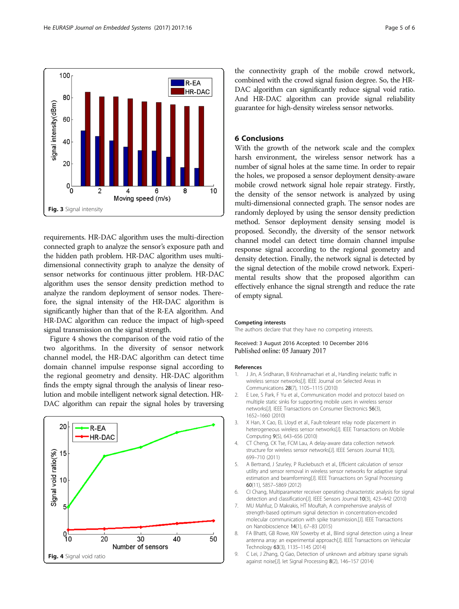<span id="page-4-0"></span>

requirements. HR-DAC algorithm uses the multi-direction connected graph to analyze the sensor's exposure path and the hidden path problem. HR-DAC algorithm uses multidimensional connectivity graph to analyze the density of sensor networks for continuous jitter problem. HR-DAC algorithm uses the sensor density prediction method to analyze the random deployment of sensor nodes. Therefore, the signal intensity of the HR-DAC algorithm is significantly higher than that of the R-EA algorithm. And HR-DAC algorithm can reduce the impact of high-speed signal transmission on the signal strength.

Figure 4 shows the comparison of the void ratio of the two algorithms. In the diversity of sensor network channel model, the HR-DAC algorithm can detect time domain channel impulse response signal according to the regional geometry and density. HR-DAC algorithm finds the empty signal through the analysis of linear resolution and mobile intelligent network signal detection. HR-DAC algorithm can repair the signal holes by traversing



the connectivity graph of the mobile crowd network, combined with the crowd signal fusion degree. So, the HR-DAC algorithm can significantly reduce signal void ratio. And HR-DAC algorithm can provide signal reliability guarantee for high-density wireless sensor networks.

### 6 Conclusions

With the growth of the network scale and the complex harsh environment, the wireless sensor network has a number of signal holes at the same time. In order to repair the holes, we proposed a sensor deployment density-aware mobile crowd network signal hole repair strategy. Firstly, the density of the sensor network is analyzed by using multi-dimensional connected graph. The sensor nodes are randomly deployed by using the sensor density prediction method. Sensor deployment density sensing model is proposed. Secondly, the diversity of the sensor network channel model can detect time domain channel impulse response signal according to the regional geometry and density detection. Finally, the network signal is detected by the signal detection of the mobile crowd network. Experimental results show that the proposed algorithm can effectively enhance the signal strength and reduce the rate of empty signal.

#### Competing interests

The authors declare that they have no competing interests.

Received: 3 August 2016 Accepted: 10 December 2016 Published online: 05 January 2017

#### References

- 1. J Jin, A Sridharan, B Krishnamachari et al., Handling inelastic traffic in wireless sensor networks[J]. IEEE Journal on Selected Areas in Communications 28(7), 1105–1115 (2010)
- 2. E Lee, S Park, F Yu et al., Communication model and protocol based on multiple static sinks for supporting mobile users in wireless sensor networks[J]. IEEE Transactions on Consumer Electronics 56(3), 1652–1660 (2010)
- 3. X Han, X Cao, EL Lloyd et al., Fault-tolerant relay node placement in heterogeneous wireless sensor networks[J]. IEEE Transactions on Mobile Computing 9(5), 643–656 (2010)
- 4. CT Cheng, CK Tse, FCM Lau, A delay-aware data collection network structure for wireless sensor networks[J]. IEEE Sensors Journal 11(3), 699–710 (2011)
- 5. A Bertrand, J Szurley, P Ruckebusch et al., Efficient calculation of sensor utility and sensor removal in wireless sensor networks for adaptive signal estimation and beamforming[J]. IEEE Transactions on Signal Processing 60(11), 5857–5869 (2012)
- 6. CI Chang, Multiparameter receiver operating characteristic analysis for signal detection and classification[J]. IEEE Sensors Journal 10(3), 423–442 (2010)
- 7. MU Mahfuz, D Makrakis, HT Mouftah, A comprehensive analysis of strength-based optimum signal detection in concentration-encoded molecular communication with spike transmission.[J]. IEEE Transactions on Nanobioscience 14(1), 67–83 (2015)
- 8. FA Bhatti, GB Rowe, KW Sowerby et al., Blind signal detection using a linear antenna array: an experimental approach[J]. IEEE Transactions on Vehicular Technology 63(3), 1135–1145 (2014)
- 9. C Lei, J Zhang, Q Gao, Detection of unknown and arbitrary sparse signals